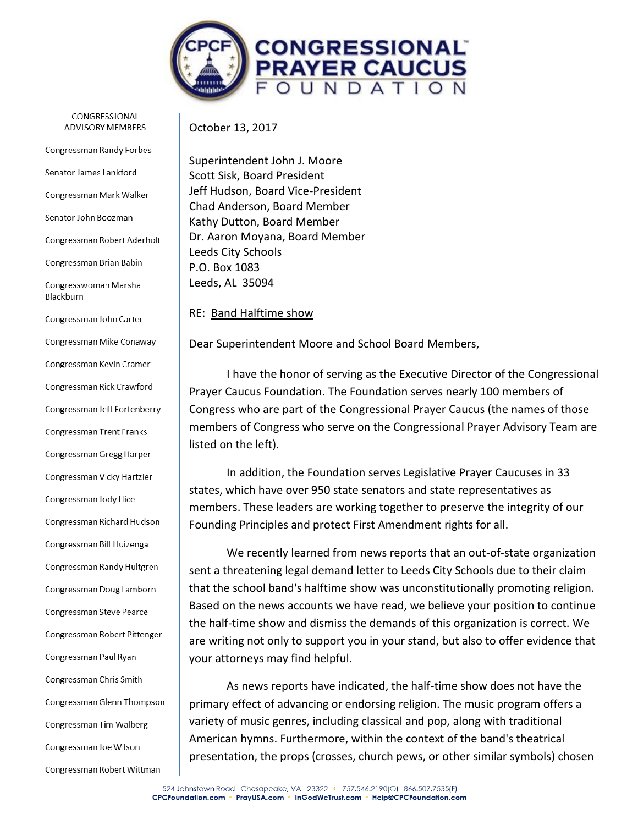

CONGRESSIONAL **ADVISORY MEMBERS** 

Congressman Randy Forbes

Senator James Lankford

Congressman Mark Walker

Senator John Boozman

Congressman Robert Aderholt

Congressman Brian Babin

Congresswoman Marsha Blackburn

Congressman John Carter Congressman Mike Conaway Congressman Kevin Cramer Congressman Rick Crawford Congressman Jeff Fortenberry **Congressman Trent Franks** Congressman Gregg Harper Congressman Vicky Hartzler Congressman Jody Hice Congressman Richard Hudson Congressman Bill Huizenga Congressman Randy Hultgren Congressman Doug Lamborn Congressman Steve Pearce Congressman Robert Pittenger Congressman Paul Ryan Congressman Chris Smith Congressman Glenn Thompson Congressman Tim Walberg Congressman Joe Wilson Congressman Robert Wittman

October 13, 2017

Superintendent John J. Moore Scott Sisk, Board President Jeff Hudson, Board Vice-President Chad Anderson, Board Member Kathy Dutton, Board Member Dr. Aaron Moyana, Board Member Leeds City Schools P.O. Box 1083 Leeds, AL 35094

RE: Band Halftime show

Dear Superintendent Moore and School Board Members,

I have the honor of serving as the Executive Director of the Congressional Prayer Caucus Foundation. The Foundation serves nearly 100 members of Congress who are part of the Congressional Prayer Caucus (the names of those members of Congress who serve on the Congressional Prayer Advisory Team are listed on the left).

In addition, the Foundation serves Legislative Prayer Caucuses in 33 states, which have over 950 state senators and state representatives as members. These leaders are working together to preserve the integrity of our Founding Principles and protect First Amendment rights for all.

We recently learned from news reports that an out-of-state organization sent a threatening legal demand letter to Leeds City Schools due to their claim that the school band's halftime show was unconstitutionally promoting religion. Based on the news accounts we have read, we believe your position to continue the half-time show and dismiss the demands of this organization is correct. We are writing not only to support you in your stand, but also to offer evidence that your attorneys may find helpful.

As news reports have indicated, the half-time show does not have the primary effect of advancing or endorsing religion. The music program offers a variety of music genres, including classical and pop, along with traditional American hymns. Furthermore, within the context of the band's theatrical presentation, the props (crosses, church pews, or other similar symbols) chosen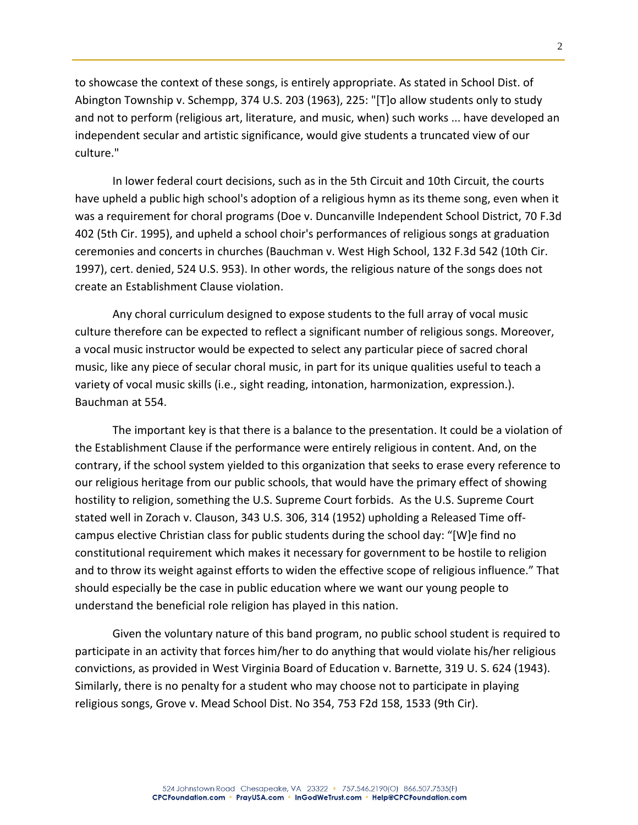to showcase the context of these songs, is entirely appropriate. As stated in School Dist. of Abington Township v. Schempp, 374 U.S. 203 (1963), 225: "[T]o allow students only to study and not to perform (religious art, literature, and music, when) such works ... have developed an independent secular and artistic significance, would give students a truncated view of our culture."

In lower federal court decisions, such as in the 5th Circuit and 10th Circuit, the courts have upheld a public high school's adoption of a religious hymn as its theme song, even when it was a requirement for choral programs (Doe v. Duncanville Independent School District, 70 F.3d 402 (5th Cir. 1995), and upheld a school choir's performances of religious songs at graduation ceremonies and concerts in churches (Bauchman v. West High School, 132 F.3d 542 (10th Cir. 1997), cert. denied, 524 U.S. 953). In other words, the religious nature of the songs does not create an Establishment Clause violation.

Any choral curriculum designed to expose students to the full array of vocal music culture therefore can be expected to reflect a significant number of religious songs. Moreover, a vocal music instructor would be expected to select any particular piece of sacred choral music, like any piece of secular choral music, in part for its unique qualities useful to teach a variety of vocal music skills (i.e., sight reading, intonation, harmonization, expression.). Bauchman at 554.

The important key is that there is a balance to the presentation. It could be a violation of the Establishment Clause if the performance were entirely religious in content. And, on the contrary, if the school system yielded to this organization that seeks to erase every reference to our religious heritage from our public schools, that would have the primary effect of showing hostility to religion, something the U.S. Supreme Court forbids. As the U.S. Supreme Court stated well in Zorach v. Clauson, 343 U.S. 306, 314 (1952) upholding a Released Time offcampus elective Christian class for public students during the school day: "[W]e find no constitutional requirement which makes it necessary for government to be hostile to religion and to throw its weight against efforts to widen the effective scope of religious influence." That should especially be the case in public education where we want our young people to understand the beneficial role religion has played in this nation.

Given the voluntary nature of this band program, no public school student is required to participate in an activity that forces him/her to do anything that would violate his/her religious convictions, as provided in West Virginia Board of Education v. Barnette, 319 U. S. 624 (1943). Similarly, there is no penalty for a student who may choose not to participate in playing religious songs, Grove v. Mead School Dist. No 354, 753 F2d 158, 1533 (9th Cir).